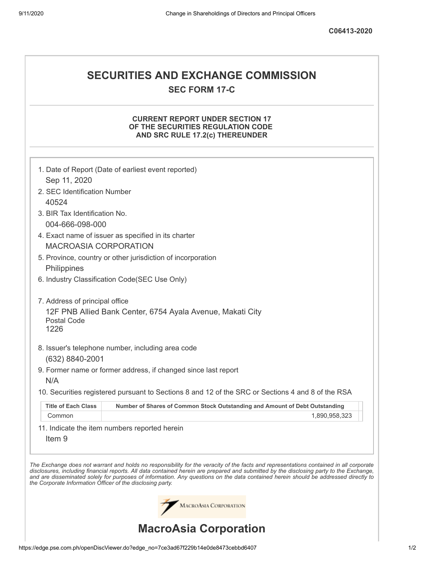# **SECURITIES AND EXCHANGE COMMISSION SEC FORM 17-C**

## **CURRENT REPORT UNDER SECTION 17 OF THE SECURITIES REGULATION CODE AND SRC RULE 17.2(c) THEREUNDER**

|                                                            | 1. Date of Report (Date of earliest event reported)                                                                                                                                                                                                                                                                                                                                                                      |
|------------------------------------------------------------|--------------------------------------------------------------------------------------------------------------------------------------------------------------------------------------------------------------------------------------------------------------------------------------------------------------------------------------------------------------------------------------------------------------------------|
| Sep 11, 2020                                               |                                                                                                                                                                                                                                                                                                                                                                                                                          |
| 2. SEC Identification Number                               |                                                                                                                                                                                                                                                                                                                                                                                                                          |
| 40524                                                      |                                                                                                                                                                                                                                                                                                                                                                                                                          |
| 3. BIR Tax Identification No.                              |                                                                                                                                                                                                                                                                                                                                                                                                                          |
| 004-666-098-000                                            |                                                                                                                                                                                                                                                                                                                                                                                                                          |
|                                                            | 4. Exact name of issuer as specified in its charter                                                                                                                                                                                                                                                                                                                                                                      |
| <b>MACROASIA CORPORATION</b>                               |                                                                                                                                                                                                                                                                                                                                                                                                                          |
|                                                            | 5. Province, country or other jurisdiction of incorporation                                                                                                                                                                                                                                                                                                                                                              |
| Philippines                                                |                                                                                                                                                                                                                                                                                                                                                                                                                          |
|                                                            | 6. Industry Classification Code(SEC Use Only)                                                                                                                                                                                                                                                                                                                                                                            |
| 7. Address of principal office                             |                                                                                                                                                                                                                                                                                                                                                                                                                          |
| <b>Postal Code</b><br>1226                                 | 12F PNB Allied Bank Center, 6754 Ayala Avenue, Makati City                                                                                                                                                                                                                                                                                                                                                               |
|                                                            | 8. Issuer's telephone number, including area code                                                                                                                                                                                                                                                                                                                                                                        |
| (632) 8840-2001                                            |                                                                                                                                                                                                                                                                                                                                                                                                                          |
|                                                            | 9. Former name or former address, if changed since last report                                                                                                                                                                                                                                                                                                                                                           |
| N/A                                                        |                                                                                                                                                                                                                                                                                                                                                                                                                          |
|                                                            | 10. Securities registered pursuant to Sections 8 and 12 of the SRC or Sections 4 and 8 of the RSA                                                                                                                                                                                                                                                                                                                        |
|                                                            |                                                                                                                                                                                                                                                                                                                                                                                                                          |
| <b>Title of Each Class</b>                                 | Number of Shares of Common Stock Outstanding and Amount of Debt Outstanding                                                                                                                                                                                                                                                                                                                                              |
| Common                                                     | 1,890,958,323                                                                                                                                                                                                                                                                                                                                                                                                            |
| Item <sub>9</sub>                                          | 11. Indicate the item numbers reported herein                                                                                                                                                                                                                                                                                                                                                                            |
| the Corporate Information Officer of the disclosing party. | The Exchange does not warrant and holds no responsibility for the veracity of the facts and representations contained in all corporate<br>disclosures, including financial reports. All data contained herein are prepared and submitted by the disclosing party to the Exchange,<br>and are disseminated solely for purposes of information. Any questions on the data contained herein should be addressed directly to |
|                                                            | MACROASIA CORPORATION                                                                                                                                                                                                                                                                                                                                                                                                    |
|                                                            | <b>MacroAsia Corporation</b>                                                                                                                                                                                                                                                                                                                                                                                             |